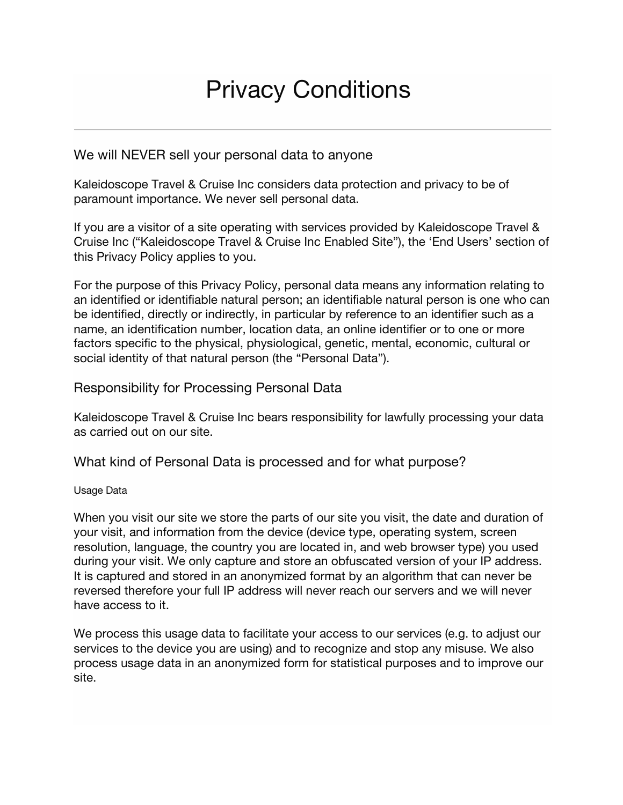# Privacy Conditions

## We will NEVER sell your personal data to anyone

Kaleidoscope Travel & Cruise Inc considers data protection and privacy to be of paramount importance. We never sell personal data.

If you are a visitor of a site operating with services provided by Kaleidoscope Travel & Cruise Inc ("Kaleidoscope Travel & Cruise Inc Enabled Site"), the 'End Users' section of this Privacy Policy applies to you.

For the purpose of this Privacy Policy, personal data means any information relating to an identified or identifiable natural person; an identifiable natural person is one who can be identified, directly or indirectly, in particular by reference to an identifier such as a name, an identification number, location data, an online identifier or to one or more factors specific to the physical, physiological, genetic, mental, economic, cultural or social identity of that natural person (the "Personal Data").

## Responsibility for Processing Personal Data

Kaleidoscope Travel & Cruise Inc bears responsibility for lawfully processing your data as carried out on our site.

What kind of Personal Data is processed and for what purpose?

#### Usage Data

When you visit our site we store the parts of our site you visit, the date and duration of your visit, and information from the device (device type, operating system, screen resolution, language, the country you are located in, and web browser type) you used during your visit. We only capture and store an obfuscated version of your IP address. It is captured and stored in an anonymized format by an algorithm that can never be reversed therefore your full IP address will never reach our servers and we will never have access to it.

We process this usage data to facilitate your access to our services (e.g. to adjust our services to the device you are using) and to recognize and stop any misuse. We also process usage data in an anonymized form for statistical purposes and to improve our site.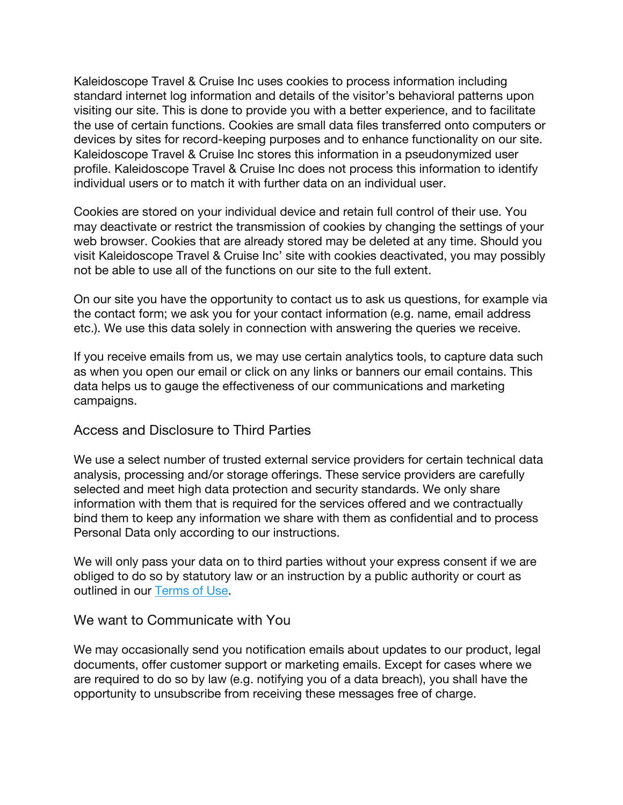Kaleidoscope Travel & Cruise Inc uses cookies to process information including standard internet log information and details of the visitor's behavioral patterns upon visiting our site. This is done to provide you with a better experience, and to facilitate the use of certain functions. Cookies are small data files transferred onto computers or devices by sites for record-keeping purposes and to enhance functionality on our site. Kaleidoscope Travel & Cruise Inc stores this information in a pseudonymized user profile. Kaleidoscope Travel & Cruise Inc does not process this information to identify individual users or to match it with further data on an individual user.

Cookies are stored on your individual device and retain full control of their use. You may deactivate or restrict the transmission of cookies by changing the settings of your web browser. Cookies that are already stored may be deleted at any time. Should you visit Kaleidoscope Travel & Cruise Inc' site with cookies deactivated, you may possibly not be able to use all of the functions on our site to the full extent.

On our site you have the opportunity to contact us to ask us questions, for example via the contact form; we ask you for your contact information (e.g. name, email address etc.). We use this data solely in connection with answering the queries we receive.

If you receive emails from us, we may use certain analytics tools, to capture data such as when you open our email or click on any links or banners our email contains. This data helps us to gauge the effectiveness of our communications and marketing campaigns.

#### Access and Disclosure to Third Parties

We use a select number of trusted external service providers for certain technical data analysis, processing and/or storage offerings. These service providers are carefully selected and meet high data protection and security standards. We only share information with them that is required for the services offered and we contractually bind them to keep any information we share with them as confidential and to process Personal Data only according to our instructions.

We will only pass your data on to third parties without your express consent if we are obliged to do so by statutory law or an instruction by a public authority or court as outlined in our Terms of Use.

#### We want to Communicate with You

We may occasionally send you notification emails about updates to our product, legal documents, offer customer support or marketing emails. Except for cases where we are required to do so by law (e.g. notifying you of a data breach), you shall have the opportunity to unsubscribe from receiving these messages free of charge.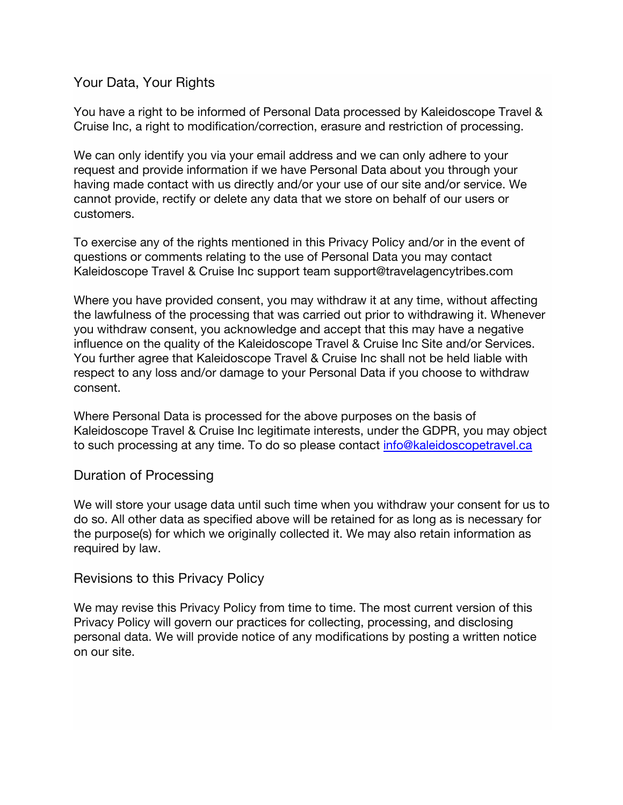## Your Data, Your Rights

You have a right to be informed of Personal Data processed by Kaleidoscope Travel & Cruise Inc, a right to modification/correction, erasure and restriction of processing.

We can only identify you via your email address and we can only adhere to your request and provide information if we have Personal Data about you through your having made contact with us directly and/or your use of our site and/or service. We cannot provide, rectify or delete any data that we store on behalf of our users or customers.

To exercise any of the rights mentioned in this Privacy Policy and/or in the event of questions or comments relating to the use of Personal Data you may contact Kaleidoscope Travel & Cruise Inc support team support@travelagencytribes.com

Where you have provided consent, you may withdraw it at any time, without affecting the lawfulness of the processing that was carried out prior to withdrawing it. Whenever you withdraw consent, you acknowledge and accept that this may have a negative influence on the quality of the Kaleidoscope Travel & Cruise Inc Site and/or Services. You further agree that Kaleidoscope Travel & Cruise Inc shall not be held liable with respect to any loss and/or damage to your Personal Data if you choose to withdraw consent.

Where Personal Data is processed for the above purposes on the basis of Kaleidoscope Travel & Cruise Inc legitimate interests, under the GDPR, you may object to such processing at any time. To do so please contact info@kaleidoscopetravel.ca

## Duration of Processing

We will store your usage data until such time when you withdraw your consent for us to do so. All other data as specified above will be retained for as long as is necessary for the purpose(s) for which we originally collected it. We may also retain information as required by law.

## Revisions to this Privacy Policy

We may revise this Privacy Policy from time to time. The most current version of this Privacy Policy will govern our practices for collecting, processing, and disclosing personal data. We will provide notice of any modifications by posting a written notice on our site.